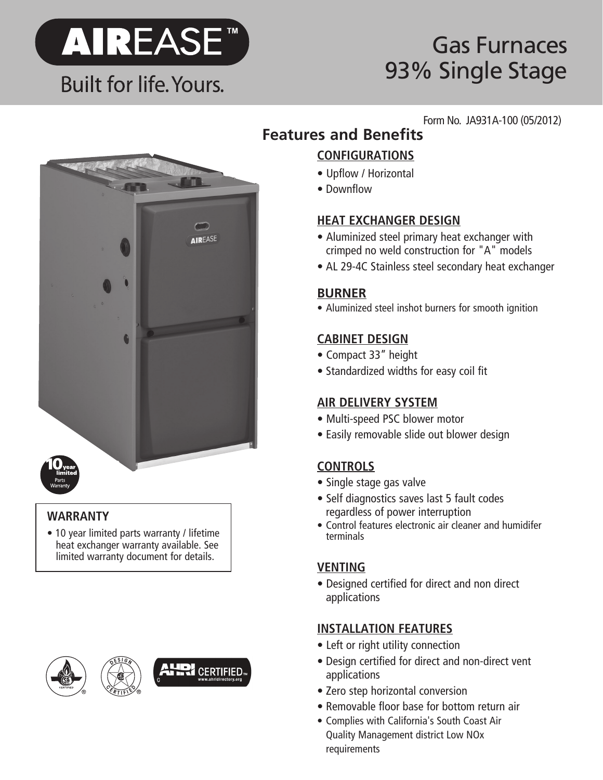

# Gas Furnaces 93% Single Stage

# **AIREASE**

### **WARRANTY**

• 10 year limited parts warranty / lifetime heat exchanger warranty available. See limited warranty document for details.





### Form No. JA931A-100 (05/2012) **Features and Benefits**

### **CONFIGURATIONS**

- Upflow / Horizontal
- Downflow

### **HEAT EXCHANGER DESIGN**

- Aluminized steel primary heat exchanger with crimped no weld construction for "A" models
- AL 29-4C Stainless steel secondary heat exchanger

### **BURNER**

• Aluminized steel inshot burners for smooth ignition

### **CABINET DESIGN**

- Compact 33" height
- Standardized widths for easy coil fit

### **AIR DELIVERY SYSTEM**

- Multi-speed PSC blower motor
- Easily removable slide out blower design

### **CONTROLS**

- Single stage gas valve
- Self diagnostics saves last 5 fault codes regardless of power interruption
- Control features electronic air cleaner and humidifer terminals

### **VENTING**

• Designed certified for direct and non direct applications

### **INSTALLATION FEATURES**

- Left or right utility connection
- Design certified for direct and non-direct vent applications
- Zero step horizontal conversion
- Removable floor base for bottom return air
- Complies with California's South Coast Air Quality Management district Low NOx requirements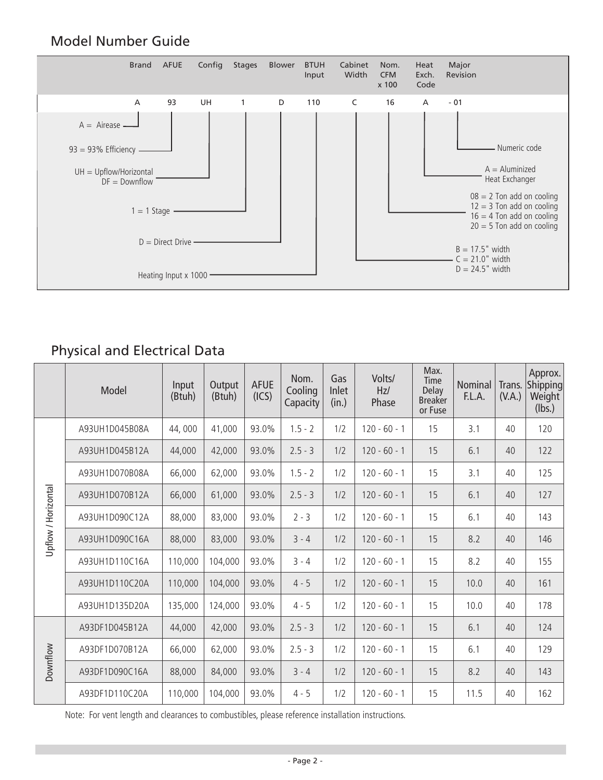### Model Number Guide



### Physical and Electrical Data

|                     | Model          | Input<br>(Btuh) | Output<br>(Btuh) | <b>AFUE</b><br>(ICS) | Nom.<br>Cooling<br>Capacity | Gas<br>Inlet<br>(in.) | Volts/<br>Hz/<br>Phase | Max.<br><b>Time</b><br><b>Delay</b><br><b>Breaker</b><br>or Fuse | Nominal<br>F.L.A. | Trans.<br>(V.A.) | Approx.<br>Shipping<br>Weight<br>(lbs.) |
|---------------------|----------------|-----------------|------------------|----------------------|-----------------------------|-----------------------|------------------------|------------------------------------------------------------------|-------------------|------------------|-----------------------------------------|
| Upflow / Horizontal | A93UH1D045B08A | 44,000          | 41,000           | 93.0%                | $1.5 - 2$                   | 1/2                   | $120 - 60 - 1$         | 15                                                               | 3.1               | 40               | 120                                     |
|                     | A93UH1D045B12A | 44,000          | 42,000           | 93.0%                | $2.5 - 3$                   | 1/2                   | $120 - 60 - 1$         | 15                                                               | 6.1               | 40               | 122                                     |
|                     | A93UH1D070B08A | 66,000          | 62,000           | 93.0%                | $1.5 - 2$                   | 1/2                   | $120 - 60 - 1$         | 15                                                               | 3.1               | 40               | 125                                     |
|                     | A93UH1D070B12A | 66,000          | 61,000           | 93.0%                | $2.5 - 3$                   | 1/2                   | $120 - 60 - 1$         | 15                                                               | 6.1               | 40               | 127                                     |
|                     | A93UH1D090C12A | 88,000          | 83,000           | 93.0%                | $2 - 3$                     | 1/2                   | $120 - 60 - 1$         | 15                                                               | 6.1               | 40               | 143                                     |
|                     | A93UH1D090C16A | 88,000          | 83,000           | 93.0%                | $3 - 4$                     | 1/2                   | $120 - 60 - 1$         | 15                                                               | 8.2               | 40               | 146                                     |
|                     | A93UH1D110C16A | 110,000         | 104,000          | 93.0%                | $3 - 4$                     | 1/2                   | $120 - 60 - 1$         | 15                                                               | 8.2               | 40               | 155                                     |
|                     | A93UH1D110C20A | 110,000         | 104,000          | 93.0%                | $4 - 5$                     | 1/2                   | $120 - 60 - 1$         | 15                                                               | 10.0              | 40               | 161                                     |
|                     | A93UH1D135D20A | 135,000         | 124,000          | 93.0%                | $4 - 5$                     | 1/2                   | $120 - 60 - 1$         | 15                                                               | 10.0              | 40               | 178                                     |
| Downflow            | A93DF1D045B12A | 44,000          | 42,000           | 93.0%                | $2.5 - 3$                   | 1/2                   | $120 - 60 - 1$         | 15                                                               | 6.1               | 40               | 124                                     |
|                     | A93DF1D070B12A | 66,000          | 62,000           | 93.0%                | $2.5 - 3$                   | 1/2                   | $120 - 60 - 1$         | 15                                                               | 6.1               | 40               | 129                                     |
|                     | A93DF1D090C16A | 88,000          | 84,000           | 93.0%                | $3 - 4$                     | 1/2                   | $120 - 60 - 1$         | 15                                                               | 8.2               | 40               | 143                                     |
|                     | A93DF1D110C20A | 110,000         | 104,000          | 93.0%                | $4 - 5$                     | 1/2                   | $120 - 60 - 1$         | 15                                                               | 11.5              | 40               | 162                                     |

Note: For vent length and clearances to combustibles, please reference installation instructions.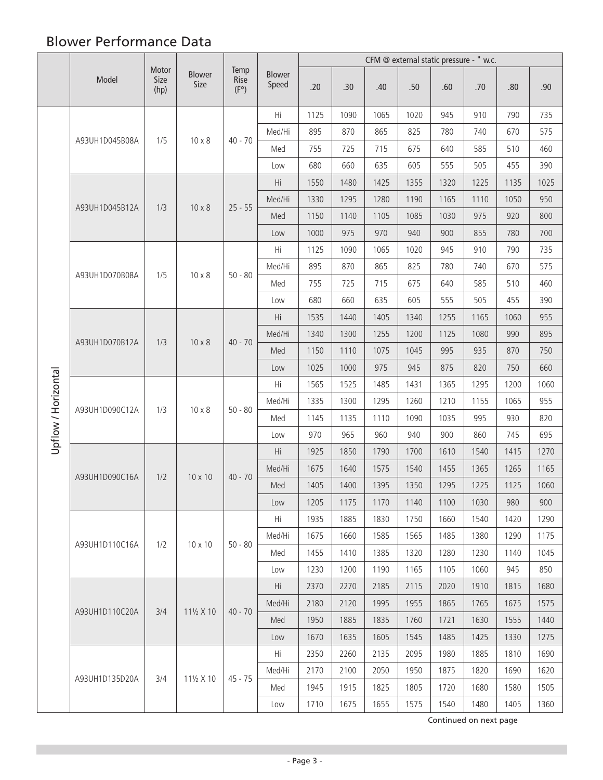# Blower Performance Data

|                     |                | Motor<br>Size<br>(hp) | <b>Blower</b><br>Size | Temp<br>Rise<br>$(F^{\circ})$ |                        | CFM @ external static pressure - " w.c. |      |      |      |      |      |      |      |
|---------------------|----------------|-----------------------|-----------------------|-------------------------------|------------------------|-----------------------------------------|------|------|------|------|------|------|------|
|                     | Model          |                       |                       |                               | <b>Blower</b><br>Speed | .20                                     | .30  | .40  | .50  | .60  | .70  | .80  | .90  |
|                     |                |                       |                       |                               | Hi                     | 1125                                    | 1090 | 1065 | 1020 | 945  | 910  | 790  | 735  |
|                     |                |                       |                       |                               | Med/Hi                 | 895                                     | 870  | 865  | 825  | 780  | 740  | 670  | 575  |
|                     | A93UH1D045B08A | 1/5                   | $10 \times 8$         | $40 - 70$                     | Med                    | 755                                     | 725  | 715  | 675  | 640  | 585  | 510  | 460  |
|                     |                |                       |                       |                               | Low                    | 680                                     | 660  | 635  | 605  | 555  | 505  | 455  | 390  |
|                     |                |                       |                       |                               | Hi                     | 1550                                    | 1480 | 1425 | 1355 | 1320 | 1225 | 1135 | 1025 |
|                     |                | 1/3                   |                       |                               | Med/Hi                 | 1330                                    | 1295 | 1280 | 1190 | 1165 | 1110 | 1050 | 950  |
|                     | A93UH1D045B12A |                       | $10 \times 8$         | $25 - 55$                     | Med                    | 1150                                    | 1140 | 1105 | 1085 | 1030 | 975  | 920  | 800  |
|                     |                |                       |                       |                               | Low                    | 1000                                    | 975  | 970  | 940  | 900  | 855  | 780  | 700  |
|                     |                |                       |                       |                               | Hi                     | 1125                                    | 1090 | 1065 | 1020 | 945  | 910  | 790  | 735  |
|                     | A93UH1D070B08A | 1/5                   | $10 \times 8$         | $50 - 80$                     | Med/Hi                 | 895                                     | 870  | 865  | 825  | 780  | 740  | 670  | 575  |
|                     |                |                       |                       |                               | Med                    | 755                                     | 725  | 715  | 675  | 640  | 585  | 510  | 460  |
|                     |                |                       |                       |                               | Low                    | 680                                     | 660  | 635  | 605  | 555  | 505  | 455  | 390  |
|                     | A93UH1D070B12A | 1/3                   | $10 \times 8$         | $40 - 70$                     | Hi                     | 1535                                    | 1440 | 1405 | 1340 | 1255 | 1165 | 1060 | 955  |
|                     |                |                       |                       |                               | Med/Hi                 | 1340                                    | 1300 | 1255 | 1200 | 1125 | 1080 | 990  | 895  |
| Upflow / Horizontal |                |                       |                       |                               | Med                    | 1150                                    | 1110 | 1075 | 1045 | 995  | 935  | 870  | 750  |
|                     |                |                       |                       |                               | Low                    | 1025                                    | 1000 | 975  | 945  | 875  | 820  | 750  | 660  |
|                     | A93UH1D090C12A | 1/3                   | $10 \times 8$         | $50 - 80$                     | Hi                     | 1565                                    | 1525 | 1485 | 1431 | 1365 | 1295 | 1200 | 1060 |
|                     |                |                       |                       |                               | Med/Hi                 | 1335                                    | 1300 | 1295 | 1260 | 1210 | 1155 | 1065 | 955  |
|                     |                |                       |                       |                               | Med                    | 1145                                    | 1135 | 1110 | 1090 | 1035 | 995  | 930  | 820  |
|                     |                |                       |                       |                               | Low                    | 970                                     | 965  | 960  | 940  | 900  | 860  | 745  | 695  |
|                     | A93UH1D090C16A | 1/2                   | 10 x 10               |                               | Hi                     | 1925                                    | 1850 | 1790 | 1700 | 1610 | 1540 | 1415 | 1270 |
|                     |                |                       |                       | $40 - 70$                     | Med/Hi                 | 1675                                    | 1640 | 1575 | 1540 | 1455 | 1365 | 1265 | 1165 |
|                     |                |                       |                       |                               | Med                    | 1405                                    | 1400 | 1395 | 1350 | 1295 | 1225 | 1125 | 1060 |
|                     |                |                       |                       |                               | Low                    | 1205                                    | 1175 | 1170 | 1140 | 1100 | 1030 | 980  | 900  |
|                     |                | 1/2                   | 10 x 10               | $50 - 80$                     | Hi                     | 1935                                    | 1885 | 1830 | 1750 | 1660 | 1540 | 1420 | 1290 |
|                     | A93UH1D110C16A |                       |                       |                               | Med/Hi                 | 1675                                    | 1660 | 1585 | 1565 | 1485 | 1380 | 1290 | 1175 |
|                     |                |                       |                       |                               | Med                    | 1455                                    | 1410 | 1385 | 1320 | 1280 | 1230 | 1140 | 1045 |
|                     |                |                       |                       |                               | Low                    | 1230                                    | 1200 | 1190 | 1165 | 1105 | 1060 | 945  | 850  |
|                     |                | 3/4                   | $11\frac{1}{2}$ X 10  |                               | Hi                     | 2370                                    | 2270 | 2185 | 2115 | 2020 | 1910 | 1815 | 1680 |
|                     | A93UH1D110C20A |                       |                       | $40 - 70$                     | Med/Hi                 | 2180                                    | 2120 | 1995 | 1955 | 1865 | 1765 | 1675 | 1575 |
|                     |                |                       |                       |                               | Med                    | 1950                                    | 1885 | 1835 | 1760 | 1721 | 1630 | 1555 | 1440 |
|                     |                |                       |                       |                               | Low                    | 1670                                    | 1635 | 1605 | 1545 | 1485 | 1425 | 1330 | 1275 |
|                     |                | 3/4                   | 111/2 X 10            | $45 - 75$                     | Hi                     | 2350                                    | 2260 | 2135 | 2095 | 1980 | 1885 | 1810 | 1690 |
|                     | A93UH1D135D20A |                       |                       |                               | Med/Hi                 | 2170                                    | 2100 | 2050 | 1950 | 1875 | 1820 | 1690 | 1620 |
|                     |                |                       |                       |                               | Med                    | 1945                                    | 1915 | 1825 | 1805 | 1720 | 1680 | 1580 | 1505 |
|                     |                |                       |                       |                               | Low                    | 1710                                    | 1675 | 1655 | 1575 | 1540 | 1480 | 1405 | 1360 |

Continued on next page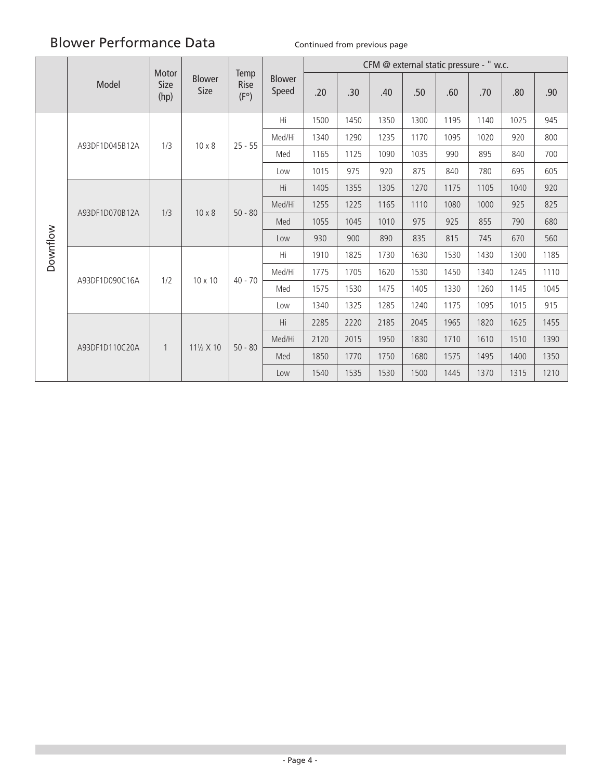# Blower Performance Data Continued from previous page

|          |                | Motor<br>Size<br>(hp) | <b>Blower</b><br>Size | Temp<br>Rise<br>$(F^{\circ})$ | <b>Blower</b><br>Speed | CFM @ external static pressure - " w.c. |      |      |      |      |      |      |      |
|----------|----------------|-----------------------|-----------------------|-------------------------------|------------------------|-----------------------------------------|------|------|------|------|------|------|------|
|          | Model          |                       |                       |                               |                        | .20                                     | .30  | .40  | .50  | .60  | .70  | .80  | .90  |
|          |                |                       | $10 \times 8$         | $25 - 55$                     | Hi                     | 1500                                    | 1450 | 1350 | 1300 | 1195 | 1140 | 1025 | 945  |
|          | A93DF1D045B12A | 1/3                   |                       |                               | Med/Hi                 | 1340                                    | 1290 | 1235 | 1170 | 1095 | 1020 | 920  | 800  |
|          |                |                       |                       |                               | Med                    | 1165                                    | 1125 | 1090 | 1035 | 990  | 895  | 840  | 700  |
|          |                |                       |                       |                               | Low                    | 1015                                    | 975  | 920  | 875  | 840  | 780  | 695  | 605  |
|          | A93DF1D070B12A | 1/3                   | $10 \times 8$         | $50 - 80$                     | Hi                     | 1405                                    | 1355 | 1305 | 1270 | 1175 | 1105 | 1040 | 920  |
|          |                |                       |                       |                               | Med/Hi                 | 1255                                    | 1225 | 1165 | 1110 | 1080 | 1000 | 925  | 825  |
|          |                |                       |                       |                               | Med                    | 1055                                    | 1045 | 1010 | 975  | 925  | 855  | 790  | 680  |
|          |                |                       |                       |                               | Low                    | 930                                     | 900  | 890  | 835  | 815  | 745  | 670  | 560  |
| Downflow | A93DF1D090C16A | 1/2                   | $10 \times 10$        | $40 - 70$                     | Hi                     | 1910                                    | 1825 | 1730 | 1630 | 1530 | 1430 | 1300 | 1185 |
|          |                |                       |                       |                               | Med/Hi                 | 1775                                    | 1705 | 1620 | 1530 | 1450 | 1340 | 1245 | 1110 |
|          |                |                       |                       |                               | Med                    | 1575                                    | 1530 | 1475 | 1405 | 1330 | 1260 | 1145 | 1045 |
|          |                |                       |                       |                               | Low                    | 1340                                    | 1325 | 1285 | 1240 | 1175 | 1095 | 1015 | 915  |
|          | A93DF1D110C20A |                       | $11\frac{1}{2}$ X 10  | $50 - 80$                     | Hi                     | 2285                                    | 2220 | 2185 | 2045 | 1965 | 1820 | 1625 | 1455 |
|          |                | $\mathbf{1}$          |                       |                               | Med/Hi                 | 2120                                    | 2015 | 1950 | 1830 | 1710 | 1610 | 1510 | 1390 |
|          |                |                       |                       |                               | Med                    | 1850                                    | 1770 | 1750 | 1680 | 1575 | 1495 | 1400 | 1350 |
|          |                |                       |                       |                               | Low                    | 1540                                    | 1535 | 1530 | 1500 | 1445 | 1370 | 1315 | 1210 |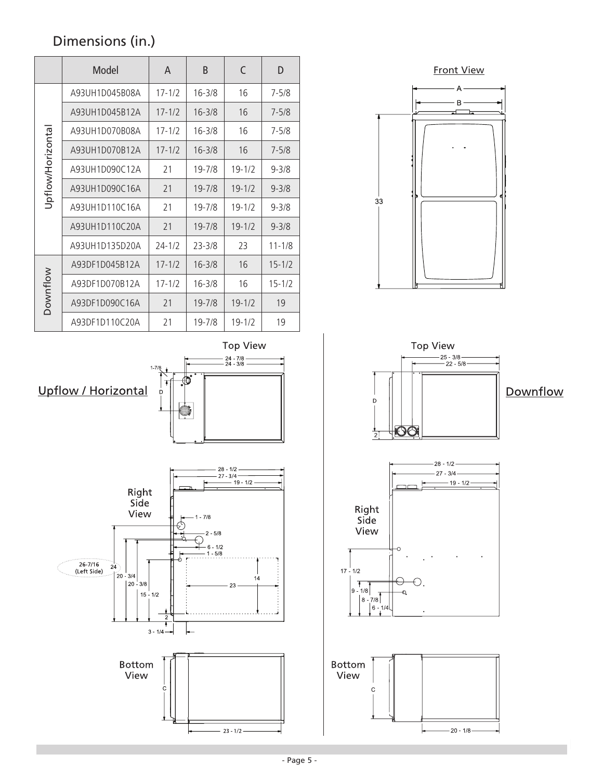# Dimensions (in.)

|                  | Model          | A          | B          | C          | D          |
|------------------|----------------|------------|------------|------------|------------|
|                  | A93UH1D045B08A | $17 - 1/2$ | $16 - 3/8$ | 16         | $7 - 5/8$  |
|                  | A93UH1D045B12A | $17 - 1/2$ | $16 - 3/8$ | 16         | $7 - 5/8$  |
|                  | A93UH1D070B08A | $17 - 1/2$ | $16 - 3/8$ | 16         | $7 - 5/8$  |
|                  | A93UH1D070B12A | $17 - 1/2$ | $16 - 3/8$ | 16         | $7 - 5/8$  |
| Jpflow/Horizonta | A93UH1D090C12A | 21         | 19-7/8     | $19 - 1/2$ | $9 - 3/8$  |
|                  | A93UH1D090C16A | 21         | $19 - 7/8$ | $19 - 1/2$ | $9 - 3/8$  |
|                  | A93UH1D110C16A | 21         | $19 - 7/8$ | $19 - 1/2$ | $9 - 3/8$  |
|                  | A93UH1D110C20A | 21         | 19-7/8     | $19 - 1/2$ | $9 - 3/8$  |
|                  | A93UH1D135D20A | $24 - 1/2$ | $23 - 3/8$ | 23         | $11 - 1/8$ |
| ownflow          | A93DF1D045B12A | $17 - 1/2$ | $16 - 3/8$ | 16         | $15 - 1/2$ |
|                  | A93DF1D070B12A | $17 - 1/2$ | $16 - 3/8$ | 16         | $15 - 1/2$ |
|                  | A93DF1D090C16A | 21         | $19 - 7/8$ | $19 - 1/2$ | 19         |
|                  | A93DF1D110C20A | 21         | 19-7/8     | $19 - 1/2$ | 19         |

**Top View**  $24 - 7/8 - 24 - 3/8 1 - 7/8$ ത് Upflow / Horizontal  $\ddot{\mathsf{D}}$